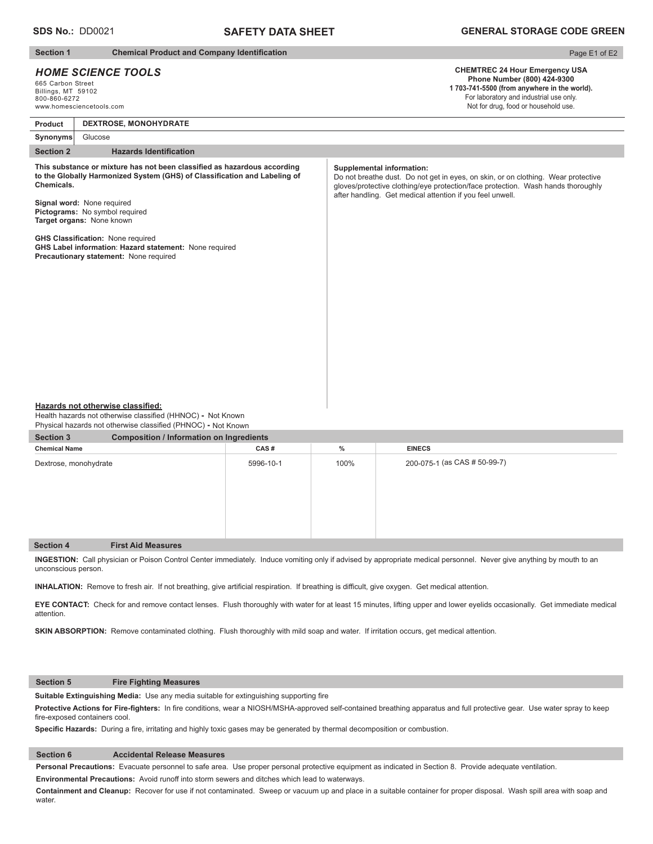## **SAFETY DATA SHEET**

### **Section 1** Chemical Product and Company Identification

### *HOME SCIENCE TOOLS*

665 Carbon Street Billings, MT 59102 800-860-6272 www.homesciencetools.com

# Page E1 of E2

### **CHEMTREC 24 Hour Emergency USA Phone Number (800) 424-9300 1 703-741-5500 (from anywhere in the world).** For laboratory and industrial use only.

Not for drug, food or household use.

# **Section 2** Hazards Identification **Product Synonyms DEXTROSE, MONOHYDRATE** Glucose This substance or mixture has not been classified as hazardous according to the Globally Harmonized System (GHS) of Classification and Labeling of **Chemicals. Signal word:** None required **Pictograms:** No symbol required **Target organs:** None known **GHS Classification: None required GHS Label information**: **Hazard statement:** None required **Precautionary statement:** None required **Supplemental information:** Do not breathe dust. Do not get in eyes, on skin, or on clothing. Wear protective gloves/protective clothing/eye protection/face protection. Wash hands thoroughly after handling. Get medical attention if you feel unwell.

#### **Hazards not otherwise classified:**

Health hazards not otherwise classified (HHNOC) - Not Known Physical hazards not otherwise classified (PHNOC) **-** Not Known

| <b>Section 3</b>      | <b>Composition / Information on Ingredients</b> |           |      |                              |  |
|-----------------------|-------------------------------------------------|-----------|------|------------------------------|--|
| <b>Chemical Name</b>  |                                                 | CAS#      | $\%$ | <b>EINECS</b>                |  |
| Dextrose, monohydrate |                                                 | 5996-10-1 | 100% | 200-075-1 (as CAS # 50-99-7) |  |
| <b>Section 4</b>      | <b>First Aid Measures</b>                       |           |      |                              |  |

**INGESTION:** Call physician or Poison Control Center immediately. Induce vomiting only if advised by appropriate medical personnel.Never give anything by mouth to an unconscious person.

INHALATION: Remove to fresh air. If not breathing, give artificial respiration. If breathing is difficult, give oxygen. Get medical attention.

**EYE CONTACT:** Check for and remove contact lenses. Flush thoroughly with water for at least 15 minutes, lifting upper and lower eyelids occasionally. Get immediate medical attention.

**SKIN ABSORPTION:** Remove contaminated clothing. Flush thoroughly with mild soap and water. If irritation occurs, get medical attention.

### **Section 5 Fire Fighting Measures**

**Suitable Extinguishing Media:** Use any media suitable for extinguishing supporting fire

Protective Actions for Fire-fighters: In fire conditions, wear a NIOSH/MSHA-approved self-contained breathing apparatus and full protective gear. Use water spray to keep fire-exposed containers cool.

Specific Hazards: During a fire, irritating and highly toxic gases may be generated by thermal decomposition or combustion.

### **Section 6 Accidental Release Measures**

**Personal Precautions:** Evacuate personnel to safe area. Use proper personal protective equipment as indicated in Section 8. Provide adequate ventilation.

**Environmental Precautions:** Avoid runoff into storm sewers and ditches which lead to waterways.

**Containment and Cleanup:** Recover for use if not contaminated. Sweep or vacuum up and place in a suitable container for proper disposal. Wash spill area with soap and water.